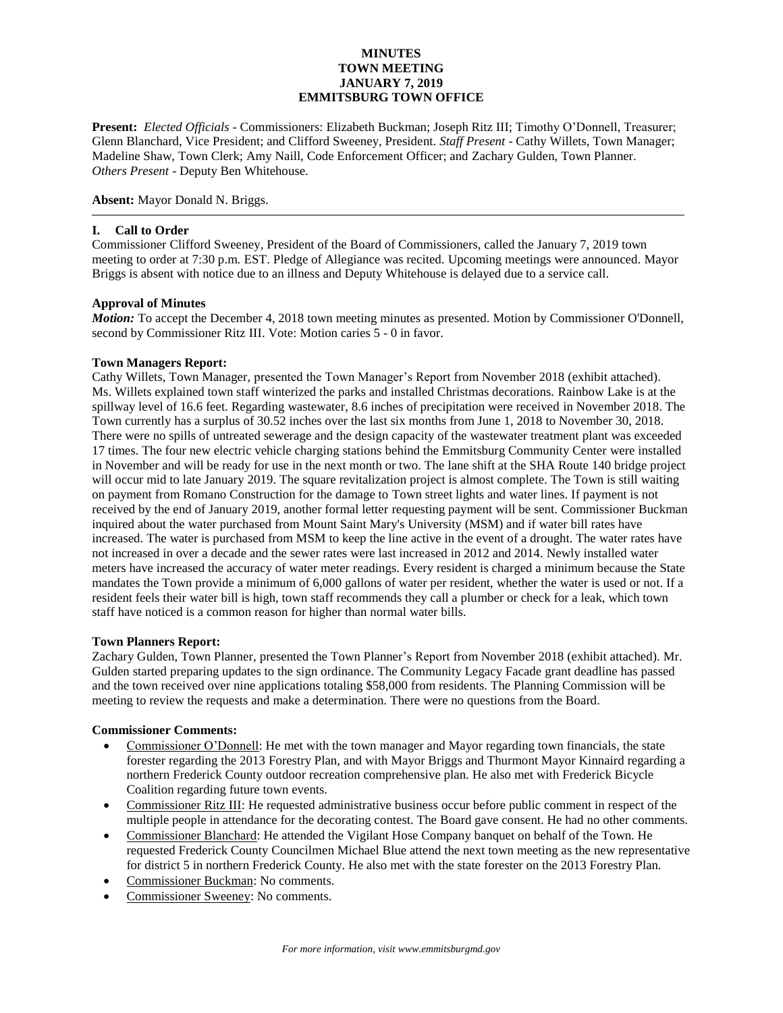## **MINUTES TOWN MEETING JANUARY 7, 2019 EMMITSBURG TOWN OFFICE**

**Present:** *Elected Officials* - Commissioners: Elizabeth Buckman; Joseph Ritz III; Timothy O'Donnell, Treasurer; Glenn Blanchard, Vice President; and Clifford Sweeney, President. *Staff Present* - Cathy Willets, Town Manager; Madeline Shaw, Town Clerk; Amy Naill, Code Enforcement Officer; and Zachary Gulden, Town Planner. *Others Present* - Deputy Ben Whitehouse.

**Absent:** Mayor Donald N. Briggs.

## **I. Call to Order**

Commissioner Clifford Sweeney, President of the Board of Commissioners, called the January 7, 2019 town meeting to order at 7:30 p.m. EST. Pledge of Allegiance was recited. Upcoming meetings were announced. Mayor Briggs is absent with notice due to an illness and Deputy Whitehouse is delayed due to a service call.

## **Approval of Minutes**

*Motion:* To accept the December 4, 2018 town meeting minutes as presented. Motion by Commissioner O'Donnell, second by Commissioner Ritz III. Vote: Motion caries 5 - 0 in favor.

### **Town Managers Report:**

Cathy Willets, Town Manager, presented the Town Manager's Report from November 2018 (exhibit attached). Ms. Willets explained town staff winterized the parks and installed Christmas decorations. Rainbow Lake is at the spillway level of 16.6 feet. Regarding wastewater, 8.6 inches of precipitation were received in November 2018. The Town currently has a surplus of 30.52 inches over the last six months from June 1, 2018 to November 30, 2018. There were no spills of untreated sewerage and the design capacity of the wastewater treatment plant was exceeded 17 times. The four new electric vehicle charging stations behind the Emmitsburg Community Center were installed in November and will be ready for use in the next month or two. The lane shift at the SHA Route 140 bridge project will occur mid to late January 2019. The square revitalization project is almost complete. The Town is still waiting on payment from Romano Construction for the damage to Town street lights and water lines. If payment is not received by the end of January 2019, another formal letter requesting payment will be sent. Commissioner Buckman inquired about the water purchased from Mount Saint Mary's University (MSM) and if water bill rates have increased. The water is purchased from MSM to keep the line active in the event of a drought. The water rates have not increased in over a decade and the sewer rates were last increased in 2012 and 2014. Newly installed water meters have increased the accuracy of water meter readings. Every resident is charged a minimum because the State mandates the Town provide a minimum of 6,000 gallons of water per resident, whether the water is used or not. If a resident feels their water bill is high, town staff recommends they call a plumber or check for a leak, which town staff have noticed is a common reason for higher than normal water bills.

### **Town Planners Report:**

Zachary Gulden, Town Planner, presented the Town Planner's Report from November 2018 (exhibit attached). Mr. Gulden started preparing updates to the sign ordinance. The Community Legacy Facade grant deadline has passed and the town received over nine applications totaling \$58,000 from residents. The Planning Commission will be meeting to review the requests and make a determination. There were no questions from the Board.

### **Commissioner Comments:**

- Commissioner O'Donnell: He met with the town manager and Mayor regarding town financials, the state forester regarding the 2013 Forestry Plan, and with Mayor Briggs and Thurmont Mayor Kinnaird regarding a northern Frederick County outdoor recreation comprehensive plan. He also met with Frederick Bicycle Coalition regarding future town events.
- Commissioner Ritz III: He requested administrative business occur before public comment in respect of the multiple people in attendance for the decorating contest. The Board gave consent. He had no other comments.
- Commissioner Blanchard: He attended the Vigilant Hose Company banquet on behalf of the Town. He requested Frederick County Councilmen Michael Blue attend the next town meeting as the new representative for district 5 in northern Frederick County. He also met with the state forester on the 2013 Forestry Plan.
- Commissioner Buckman: No comments.
- Commissioner Sweeney: No comments.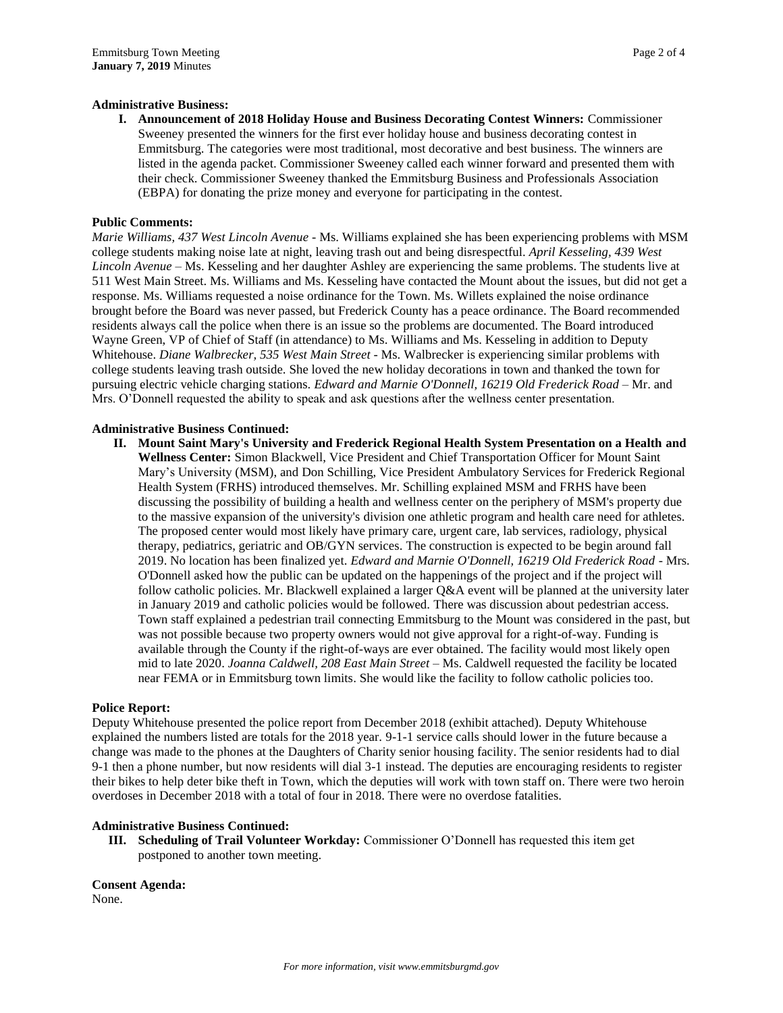#### **Administrative Business:**

**I. Announcement of 2018 Holiday House and Business Decorating Contest Winners:** Commissioner Sweeney presented the winners for the first ever holiday house and business decorating contest in Emmitsburg. The categories were most traditional, most decorative and best business. The winners are listed in the agenda packet. Commissioner Sweeney called each winner forward and presented them with their check. Commissioner Sweeney thanked the Emmitsburg Business and Professionals Association (EBPA) for donating the prize money and everyone for participating in the contest.

#### **Public Comments:**

*Marie Williams, 437 West Lincoln Avenue -* Ms. Williams explained she has been experiencing problems with MSM college students making noise late at night, leaving trash out and being disrespectful. *April Kesseling, 439 West Lincoln Avenue –* Ms. Kesseling and her daughter Ashley are experiencing the same problems. The students live at 511 West Main Street. Ms. Williams and Ms. Kesseling have contacted the Mount about the issues, but did not get a response. Ms. Williams requested a noise ordinance for the Town. Ms. Willets explained the noise ordinance brought before the Board was never passed, but Frederick County has a peace ordinance. The Board recommended residents always call the police when there is an issue so the problems are documented. The Board introduced Wayne Green, VP of Chief of Staff (in attendance) to Ms. Williams and Ms. Kesseling in addition to Deputy Whitehouse. *Diane Walbrecker, 535 West Main Street* - Ms. Walbrecker is experiencing similar problems with college students leaving trash outside. She loved the new holiday decorations in town and thanked the town for pursuing electric vehicle charging stations. *Edward and Marnie O'Donnell, 16219 Old Frederick Road* – Mr. and Mrs. O'Donnell requested the ability to speak and ask questions after the wellness center presentation.

#### **Administrative Business Continued:**

**II. Mount Saint Mary's University and Frederick Regional Health System Presentation on a Health and Wellness Center:** Simon Blackwell, Vice President and Chief Transportation Officer for Mount Saint Mary's University (MSM), and Don Schilling, Vice President Ambulatory Services for Frederick Regional Health System (FRHS) introduced themselves. Mr. Schilling explained MSM and FRHS have been discussing the possibility of building a health and wellness center on the periphery of MSM's property due to the massive expansion of the university's division one athletic program and health care need for athletes. The proposed center would most likely have primary care, urgent care, lab services, radiology, physical therapy, pediatrics, geriatric and OB/GYN services. The construction is expected to be begin around fall 2019. No location has been finalized yet. *Edward and Marnie O'Donnell, 16219 Old Frederick Road* - Mrs. O'Donnell asked how the public can be updated on the happenings of the project and if the project will follow catholic policies. Mr. Blackwell explained a larger Q&A event will be planned at the university later in January 2019 and catholic policies would be followed. There was discussion about pedestrian access. Town staff explained a pedestrian trail connecting Emmitsburg to the Mount was considered in the past, but was not possible because two property owners would not give approval for a right-of-way. Funding is available through the County if the right-of-ways are ever obtained. The facility would most likely open mid to late 2020. *Joanna Caldwell, 208 East Main Street* – Ms. Caldwell requested the facility be located near FEMA or in Emmitsburg town limits. She would like the facility to follow catholic policies too.

#### **Police Report:**

Deputy Whitehouse presented the police report from December 2018 (exhibit attached). Deputy Whitehouse explained the numbers listed are totals for the 2018 year. 9-1-1 service calls should lower in the future because a change was made to the phones at the Daughters of Charity senior housing facility. The senior residents had to dial 9-1 then a phone number, but now residents will dial 3-1 instead. The deputies are encouraging residents to register their bikes to help deter bike theft in Town, which the deputies will work with town staff on. There were two heroin overdoses in December 2018 with a total of four in 2018. There were no overdose fatalities.

#### **Administrative Business Continued:**

**III. Scheduling of Trail Volunteer Workday:** Commissioner O'Donnell has requested this item get postponed to another town meeting.

**Consent Agenda:** None.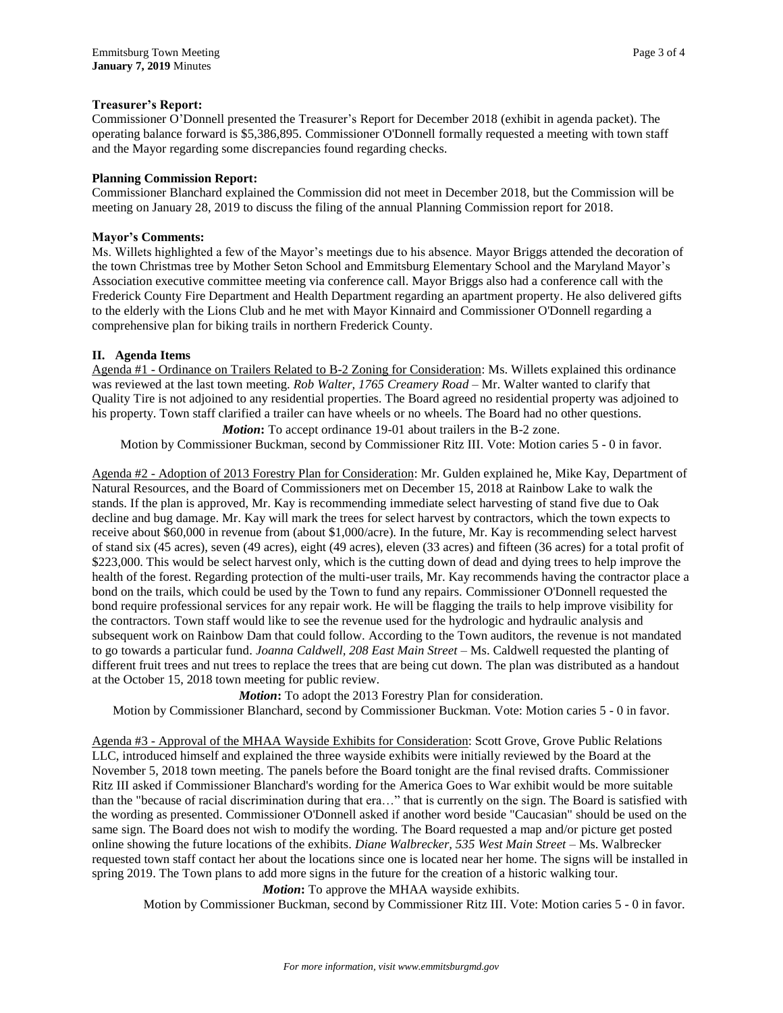## **Treasurer's Report:**

Commissioner O'Donnell presented the Treasurer's Report for December 2018 (exhibit in agenda packet). The operating balance forward is \$5,386,895. Commissioner O'Donnell formally requested a meeting with town staff and the Mayor regarding some discrepancies found regarding checks.

## **Planning Commission Report:**

Commissioner Blanchard explained the Commission did not meet in December 2018, but the Commission will be meeting on January 28, 2019 to discuss the filing of the annual Planning Commission report for 2018.

## **Mayor's Comments:**

Ms. Willets highlighted a few of the Mayor's meetings due to his absence. Mayor Briggs attended the decoration of the town Christmas tree by Mother Seton School and Emmitsburg Elementary School and the Maryland Mayor's Association executive committee meeting via conference call. Mayor Briggs also had a conference call with the Frederick County Fire Department and Health Department regarding an apartment property. He also delivered gifts to the elderly with the Lions Club and he met with Mayor Kinnaird and Commissioner O'Donnell regarding a comprehensive plan for biking trails in northern Frederick County.

## **II. Agenda Items**

Agenda #1 - Ordinance on Trailers Related to B-2 Zoning for Consideration: Ms. Willets explained this ordinance was reviewed at the last town meeting. *Rob Walter, 1765 Creamery Road –* Mr. Walter wanted to clarify that Quality Tire is not adjoined to any residential properties. The Board agreed no residential property was adjoined to his property. Town staff clarified a trailer can have wheels or no wheels. The Board had no other questions. *Motion*: To accept ordinance 19-01 about trailers in the B-2 zone.

Motion by Commissioner Buckman, second by Commissioner Ritz III. Vote: Motion caries 5 - 0 in favor.

Agenda #2 - Adoption of 2013 Forestry Plan for Consideration: Mr. Gulden explained he, Mike Kay, Department of Natural Resources, and the Board of Commissioners met on December 15, 2018 at Rainbow Lake to walk the stands. If the plan is approved, Mr. Kay is recommending immediate select harvesting of stand five due to Oak decline and bug damage. Mr. Kay will mark the trees for select harvest by contractors, which the town expects to receive about \$60,000 in revenue from (about \$1,000/acre). In the future, Mr. Kay is recommending select harvest of stand six (45 acres), seven (49 acres), eight (49 acres), eleven (33 acres) and fifteen (36 acres) for a total profit of \$223,000. This would be select harvest only, which is the cutting down of dead and dying trees to help improve the health of the forest. Regarding protection of the multi-user trails, Mr. Kay recommends having the contractor place a bond on the trails, which could be used by the Town to fund any repairs. Commissioner O'Donnell requested the bond require professional services for any repair work. He will be flagging the trails to help improve visibility for the contractors. Town staff would like to see the revenue used for the hydrologic and hydraulic analysis and subsequent work on Rainbow Dam that could follow. According to the Town auditors, the revenue is not mandated to go towards a particular fund. *Joanna Caldwell, 208 East Main Street –* Ms. Caldwell requested the planting of different fruit trees and nut trees to replace the trees that are being cut down. The plan was distributed as a handout at the October 15, 2018 town meeting for public review.

*Motion***:** To adopt the 2013 Forestry Plan for consideration.

Motion by Commissioner Blanchard, second by Commissioner Buckman. Vote: Motion caries 5 - 0 in favor.

Agenda #3 - Approval of the MHAA Wayside Exhibits for Consideration: Scott Grove, Grove Public Relations LLC, introduced himself and explained the three wayside exhibits were initially reviewed by the Board at the November 5, 2018 town meeting. The panels before the Board tonight are the final revised drafts. Commissioner Ritz III asked if Commissioner Blanchard's wording for the America Goes to War exhibit would be more suitable than the "because of racial discrimination during that era…" that is currently on the sign. The Board is satisfied with the wording as presented. Commissioner O'Donnell asked if another word beside "Caucasian" should be used on the same sign. The Board does not wish to modify the wording. The Board requested a map and/or picture get posted online showing the future locations of the exhibits. *Diane Walbrecker, 535 West Main Street* – Ms. Walbrecker requested town staff contact her about the locations since one is located near her home. The signs will be installed in spring 2019. The Town plans to add more signs in the future for the creation of a historic walking tour.

*Motion***:** To approve the MHAA wayside exhibits.

Motion by Commissioner Buckman, second by Commissioner Ritz III. Vote: Motion caries 5 - 0 in favor.